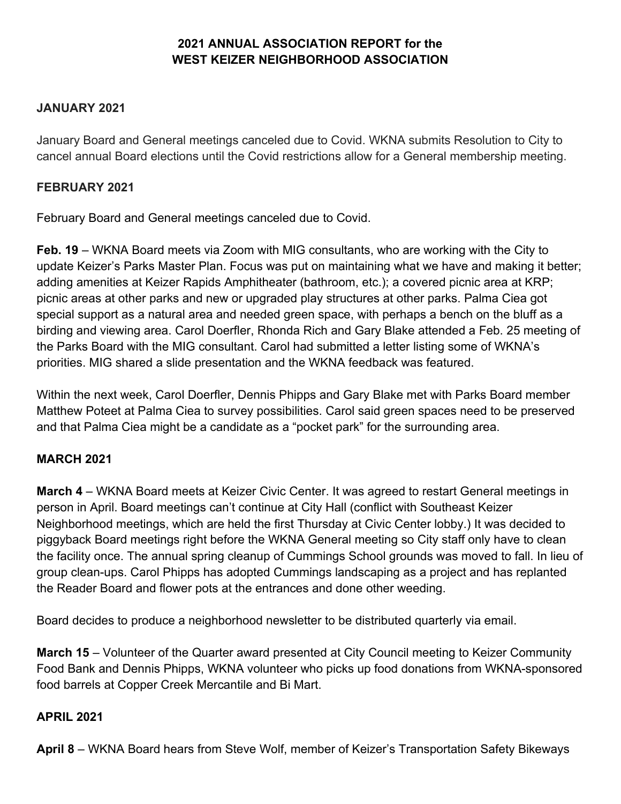# **2021 ANNUAL ASSOCIATION REPORT for the WEST KEIZER NEIGHBORHOOD ASSOCIATION**

#### **JANUARY 2021**

January Board and General meetings canceled due to Covid. WKNA submits Resolution to City to cancel annual Board elections until the Covid restrictions allow for a General membership meeting.

#### **FEBRUARY 2021**

February Board and General meetings canceled due to Covid.

**Feb. 19** – WKNA Board meets via Zoom with MIG consultants, who are working with the City to update Keizer's Parks Master Plan. Focus was put on maintaining what we have and making it better; adding amenities at Keizer Rapids Amphitheater (bathroom, etc.); a covered picnic area at KRP; picnic areas at other parks and new or upgraded play structures at other parks. Palma Ciea got special support as a natural area and needed green space, with perhaps a bench on the bluff as a birding and viewing area. Carol Doerfler, Rhonda Rich and Gary Blake attended a Feb. 25 meeting of the Parks Board with the MIG consultant. Carol had submitted a letter listing some of WKNA's priorities. MIG shared a slide presentation and the WKNA feedback was featured.

Within the next week, Carol Doerfler, Dennis Phipps and Gary Blake met with Parks Board member Matthew Poteet at Palma Ciea to survey possibilities. Carol said green spaces need to be preserved and that Palma Ciea might be a candidate as a "pocket park" for the surrounding area.

## **MARCH 2021**

**March 4** – WKNA Board meets at Keizer Civic Center. It was agreed to restart General meetings in person in April. Board meetings can't continue at City Hall (conflict with Southeast Keizer Neighborhood meetings, which are held the first Thursday at Civic Center lobby.) It was decided to piggyback Board meetings right before the WKNA General meeting so City staff only have to clean the facility once. The annual spring cleanup of Cummings School grounds was moved to fall. In lieu of group clean-ups. Carol Phipps has adopted Cummings landscaping as a project and has replanted the Reader Board and flower pots at the entrances and done other weeding.

Board decides to produce a neighborhood newsletter to be distributed quarterly via email.

**March 15** – Volunteer of the Quarter award presented at City Council meeting to Keizer Community Food Bank and Dennis Phipps, WKNA volunteer who picks up food donations from WKNA-sponsored food barrels at Copper Creek Mercantile and Bi Mart.

#### **APRIL 2021**

**April 8** – WKNA Board hears from Steve Wolf, member of Keizer's Transportation Safety Bikeways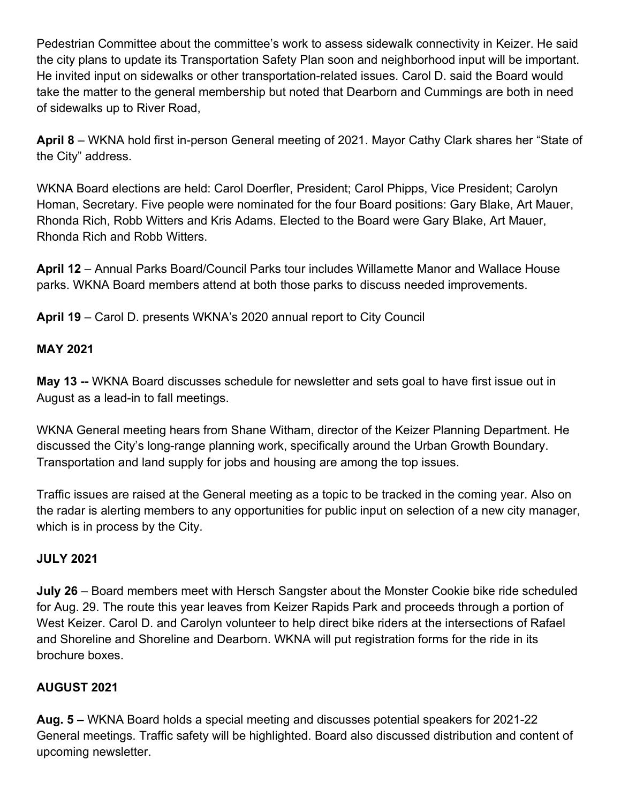Pedestrian Committee about the committee's work to assess sidewalk connectivity in Keizer. He said the city plans to update its Transportation Safety Plan soon and neighborhood input will be important. He invited input on sidewalks or other transportation-related issues. Carol D. said the Board would take the matter to the general membership but noted that Dearborn and Cummings are both in need of sidewalks up to River Road,

**April 8** – WKNA hold first in-person General meeting of 2021. Mayor Cathy Clark shares her "State of the City" address.

WKNA Board elections are held: Carol Doerfler, President; Carol Phipps, Vice President; Carolyn Homan, Secretary. Five people were nominated for the four Board positions: Gary Blake, Art Mauer, Rhonda Rich, Robb Witters and Kris Adams. Elected to the Board were Gary Blake, Art Mauer, Rhonda Rich and Robb Witters.

**April 12** – Annual Parks Board/Council Parks tour includes Willamette Manor and Wallace House parks. WKNA Board members attend at both those parks to discuss needed improvements.

**April 19** – Carol D. presents WKNA's 2020 annual report to City Council

## **MAY 2021**

**May 13 --** WKNA Board discusses schedule for newsletter and sets goal to have first issue out in August as a lead-in to fall meetings.

WKNA General meeting hears from Shane Witham, director of the Keizer Planning Department. He discussed the City's long-range planning work, specifically around the Urban Growth Boundary. Transportation and land supply for jobs and housing are among the top issues.

Traffic issues are raised at the General meeting as a topic to be tracked in the coming year. Also on the radar is alerting members to any opportunities for public input on selection of a new city manager, which is in process by the City.

# **JULY 2021**

**July 26** – Board members meet with Hersch Sangster about the Monster Cookie bike ride scheduled for Aug. 29. The route this year leaves from Keizer Rapids Park and proceeds through a portion of West Keizer. Carol D. and Carolyn volunteer to help direct bike riders at the intersections of Rafael and Shoreline and Shoreline and Dearborn. WKNA will put registration forms for the ride in its brochure boxes.

# **AUGUST 2021**

**Aug. 5 –** WKNA Board holds a special meeting and discusses potential speakers for 2021-22 General meetings. Traffic safety will be highlighted. Board also discussed distribution and content of upcoming newsletter.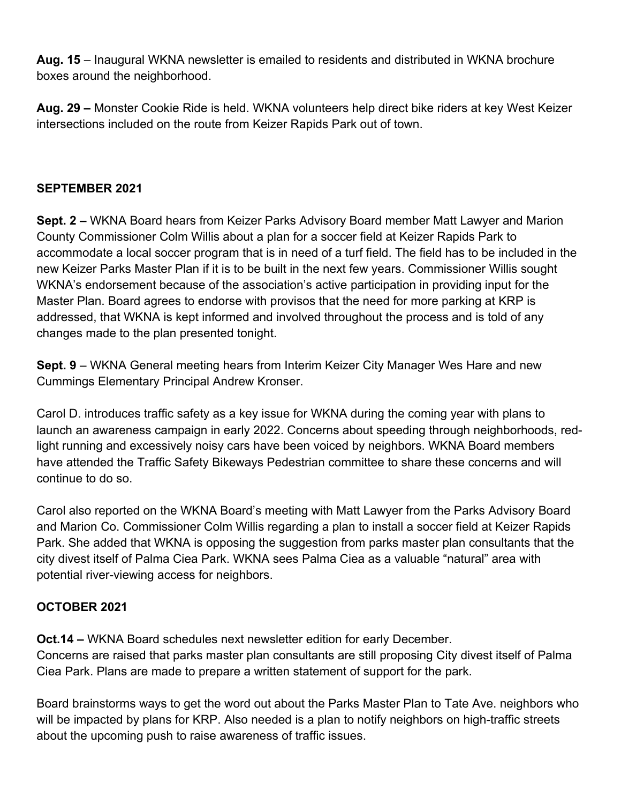**Aug. 15** – Inaugural WKNA newsletter is emailed to residents and distributed in WKNA brochure boxes around the neighborhood.

**Aug. 29 –** Monster Cookie Ride is held. WKNA volunteers help direct bike riders at key West Keizer intersections included on the route from Keizer Rapids Park out of town.

## **SEPTEMBER 2021**

**Sept. 2 –** WKNA Board hears from Keizer Parks Advisory Board member Matt Lawyer and Marion County Commissioner Colm Willis about a plan for a soccer field at Keizer Rapids Park to accommodate a local soccer program that is in need of a turf field. The field has to be included in the new Keizer Parks Master Plan if it is to be built in the next few years. Commissioner Willis sought WKNA's endorsement because of the association's active participation in providing input for the Master Plan. Board agrees to endorse with provisos that the need for more parking at KRP is addressed, that WKNA is kept informed and involved throughout the process and is told of any changes made to the plan presented tonight.

**Sept. 9** – WKNA General meeting hears from Interim Keizer City Manager Wes Hare and new Cummings Elementary Principal Andrew Kronser.

Carol D. introduces traffic safety as a key issue for WKNA during the coming year with plans to launch an awareness campaign in early 2022. Concerns about speeding through neighborhoods, redlight running and excessively noisy cars have been voiced by neighbors. WKNA Board members have attended the Traffic Safety Bikeways Pedestrian committee to share these concerns and will continue to do so.

Carol also reported on the WKNA Board's meeting with Matt Lawyer from the Parks Advisory Board and Marion Co. Commissioner Colm Willis regarding a plan to install a soccer field at Keizer Rapids Park. She added that WKNA is opposing the suggestion from parks master plan consultants that the city divest itself of Palma Ciea Park. WKNA sees Palma Ciea as a valuable "natural" area with potential river-viewing access for neighbors.

# **OCTOBER 2021**

**Oct.14 –** WKNA Board schedules next newsletter edition for early December. Concerns are raised that parks master plan consultants are still proposing City divest itself of Palma Ciea Park. Plans are made to prepare a written statement of support for the park.

Board brainstorms ways to get the word out about the Parks Master Plan to Tate Ave. neighbors who will be impacted by plans for KRP. Also needed is a plan to notify neighbors on high-traffic streets about the upcoming push to raise awareness of traffic issues.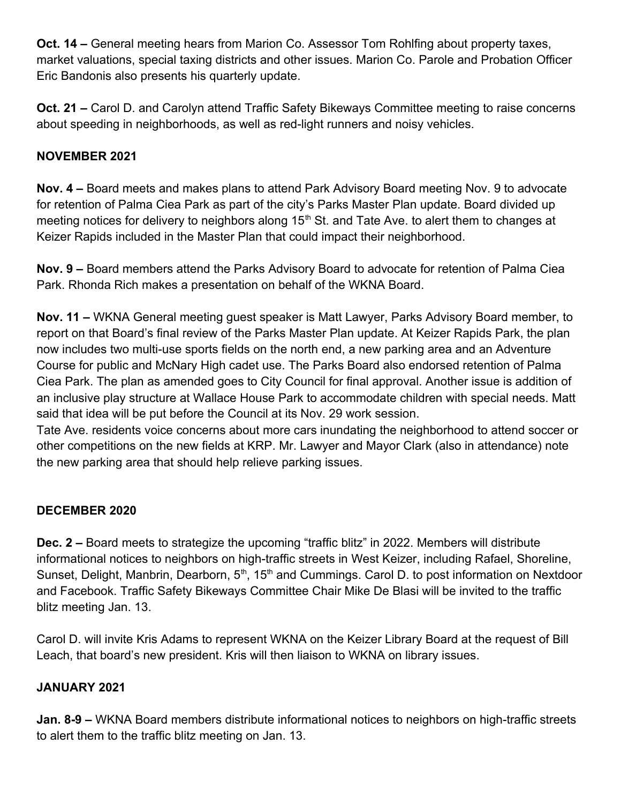**Oct. 14 –** General meeting hears from Marion Co. Assessor Tom Rohlfing about property taxes, market valuations, special taxing districts and other issues. Marion Co. Parole and Probation Officer Eric Bandonis also presents his quarterly update.

**Oct. 21 –** Carol D. and Carolyn attend Traffic Safety Bikeways Committee meeting to raise concerns about speeding in neighborhoods, as well as red-light runners and noisy vehicles.

## **NOVEMBER 2021**

**Nov. 4 –** Board meets and makes plans to attend Park Advisory Board meeting Nov. 9 to advocate for retention of Palma Ciea Park as part of the city's Parks Master Plan update. Board divided up meeting notices for delivery to neighbors along  $15<sup>th</sup>$  St. and Tate Ave. to alert them to changes at Keizer Rapids included in the Master Plan that could impact their neighborhood.

**Nov. 9 –** Board members attend the Parks Advisory Board to advocate for retention of Palma Ciea Park. Rhonda Rich makes a presentation on behalf of the WKNA Board.

**Nov. 11 –** WKNA General meeting guest speaker is Matt Lawyer, Parks Advisory Board member, to report on that Board's final review of the Parks Master Plan update. At Keizer Rapids Park, the plan now includes two multi-use sports fields on the north end, a new parking area and an Adventure Course for public and McNary High cadet use. The Parks Board also endorsed retention of Palma Ciea Park. The plan as amended goes to City Council for final approval. Another issue is addition of an inclusive play structure at Wallace House Park to accommodate children with special needs. Matt said that idea will be put before the Council at its Nov. 29 work session.

Tate Ave. residents voice concerns about more cars inundating the neighborhood to attend soccer or other competitions on the new fields at KRP. Mr. Lawyer and Mayor Clark (also in attendance) note the new parking area that should help relieve parking issues.

## **DECEMBER 2020**

**Dec. 2 –** Board meets to strategize the upcoming "traffic blitz" in 2022. Members will distribute informational notices to neighbors on high-traffic streets in West Keizer, including Rafael, Shoreline, Sunset, Delight, Manbrin, Dearborn,  $5<sup>th</sup>$ , 15<sup>th</sup> and Cummings. Carol D. to post information on Nextdoor and Facebook. Traffic Safety Bikeways Committee Chair Mike De Blasi will be invited to the traffic blitz meeting Jan. 13.

Carol D. will invite Kris Adams to represent WKNA on the Keizer Library Board at the request of Bill Leach, that board's new president. Kris will then liaison to WKNA on library issues.

## **JANUARY 2021**

**Jan. 8-9 –** WKNA Board members distribute informational notices to neighbors on high-traffic streets to alert them to the traffic blitz meeting on Jan. 13.